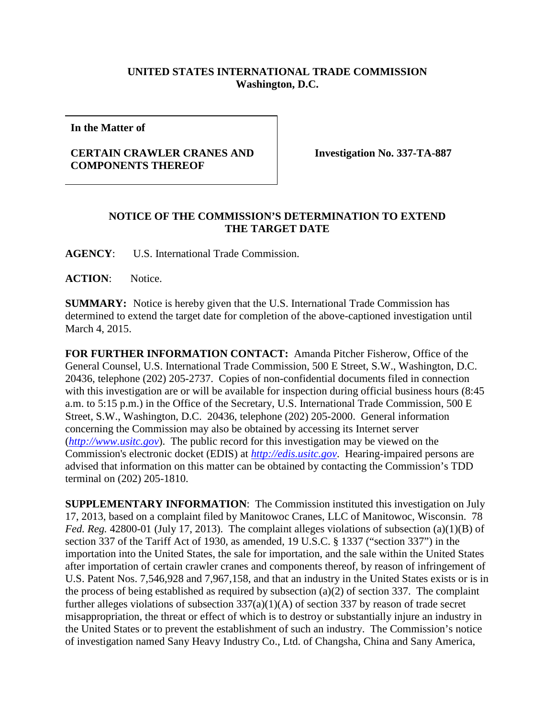## **UNITED STATES INTERNATIONAL TRADE COMMISSION Washington, D.C.**

**In the Matter of**

## **CERTAIN CRAWLER CRANES AND COMPONENTS THEREOF**

**Investigation No. 337-TA-887**

## **NOTICE OF THE COMMISSION'S DETERMINATION TO EXTEND THE TARGET DATE**

**AGENCY**: U.S. International Trade Commission.

**ACTION**: Notice.

**SUMMARY:** Notice is hereby given that the U.S. International Trade Commission has determined to extend the target date for completion of the above-captioned investigation until March 4, 2015.

**FOR FURTHER INFORMATION CONTACT:** Amanda Pitcher Fisherow, Office of the General Counsel, U.S. International Trade Commission, 500 E Street, S.W., Washington, D.C. 20436, telephone (202) 205-2737. Copies of non-confidential documents filed in connection with this investigation are or will be available for inspection during official business hours (8:45 a.m. to 5:15 p.m.) in the Office of the Secretary, U.S. International Trade Commission, 500 E Street, S.W., Washington, D.C. 20436, telephone (202) 205-2000. General information concerning the Commission may also be obtained by accessing its Internet server (*[http://www.usitc.gov](http://www.usitc.gov/)*). The public record for this investigation may be viewed on the Commission's electronic docket (EDIS) at *[http://edis.usitc.gov](http://edis.usitc.gov/)*. Hearing-impaired persons are advised that information on this matter can be obtained by contacting the Commission's TDD terminal on (202) 205-1810.

**SUPPLEMENTARY INFORMATION**: The Commission instituted this investigation on July 17, 2013, based on a complaint filed by Manitowoc Cranes, LLC of Manitowoc, Wisconsin. 78 *Fed. Reg.* 42800-01 (July 17, 2013). The complaint alleges violations of subsection (a)(1)(B) of section 337 of the Tariff Act of 1930, as amended, 19 U.S.C. § 1337 ("section 337") in the importation into the United States, the sale for importation, and the sale within the United States after importation of certain crawler cranes and components thereof, by reason of infringement of U.S. Patent Nos. 7,546,928 and 7,967,158, and that an industry in the United States exists or is in the process of being established as required by subsection (a)(2) of section 337. The complaint further alleges violations of subsection  $337(a)(1)(A)$  of section 337 by reason of trade secret misappropriation, the threat or effect of which is to destroy or substantially injure an industry in the United States or to prevent the establishment of such an industry. The Commission's notice of investigation named Sany Heavy Industry Co., Ltd. of Changsha, China and Sany America,